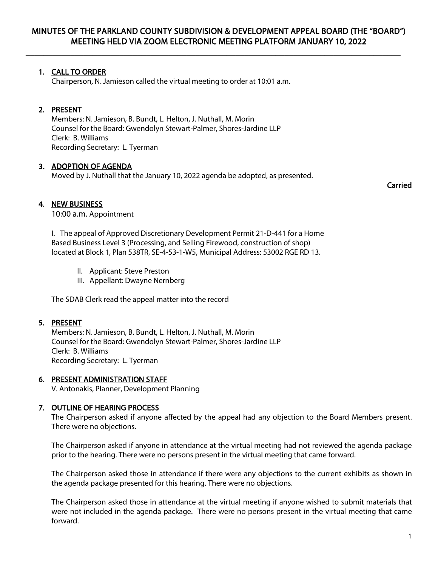$\overline{\phantom{a}}$  , and the contribution of the contribution of the contribution of the contribution of the contribution of the contribution of the contribution of the contribution of the contribution of the contribution of the

# 1. CALL TO ORDER

Chairperson, N. Jamieson called the virtual meeting to order at 10:01 a.m.

# 2. PRESENT

Members: N. Jamieson, B. Bundt, L. Helton, J. Nuthall, M. Morin Counsel for the Board: Gwendolyn Stewart-Palmer, Shores-Jardine LLP Clerk: B. Williams Recording Secretary: L. Tyerman

# 3. ADOPTION OF AGENDA

Moved by J. Nuthall that the January 10, 2022 agenda be adopted, as presented.

Carried

# 4. NEW BUSINESS

10:00 a.m. Appointment

I. The appeal of Approved Discretionary Development Permit 21-D-441 for a Home Based Business Level 3 (Processing, and Selling Firewood, construction of shop) located at Block 1, Plan 538TR, SE-4-53-1-W5, Municipal Address: 53002 RGE RD 13.

- II. Applicant: Steve Preston
- III. Appellant: Dwayne Nernberg

The SDAB Clerk read the appeal matter into the record

# 5. PRESENT

Members: N. Jamieson, B. Bundt, L. Helton, J. Nuthall, M. Morin Counsel for the Board: Gwendolyn Stewart-Palmer, Shores-Jardine LLP Clerk: B. Williams Recording Secretary: L. Tyerman

# 6. PRESENT ADMINISTRATION STAFF

V. Antonakis, Planner, Development Planning

# 7. OUTLINE OF HEARING PROCESS

The Chairperson asked if anyone affected by the appeal had any objection to the Board Members present. There were no objections.

The Chairperson asked if anyone in attendance at the virtual meeting had not reviewed the agenda package prior to the hearing. There were no persons present in the virtual meeting that came forward.

The Chairperson asked those in attendance if there were any objections to the current exhibits as shown in the agenda package presented for this hearing. There were no objections.

The Chairperson asked those in attendance at the virtual meeting if anyone wished to submit materials that were not included in the agenda package. There were no persons present in the virtual meeting that came forward.